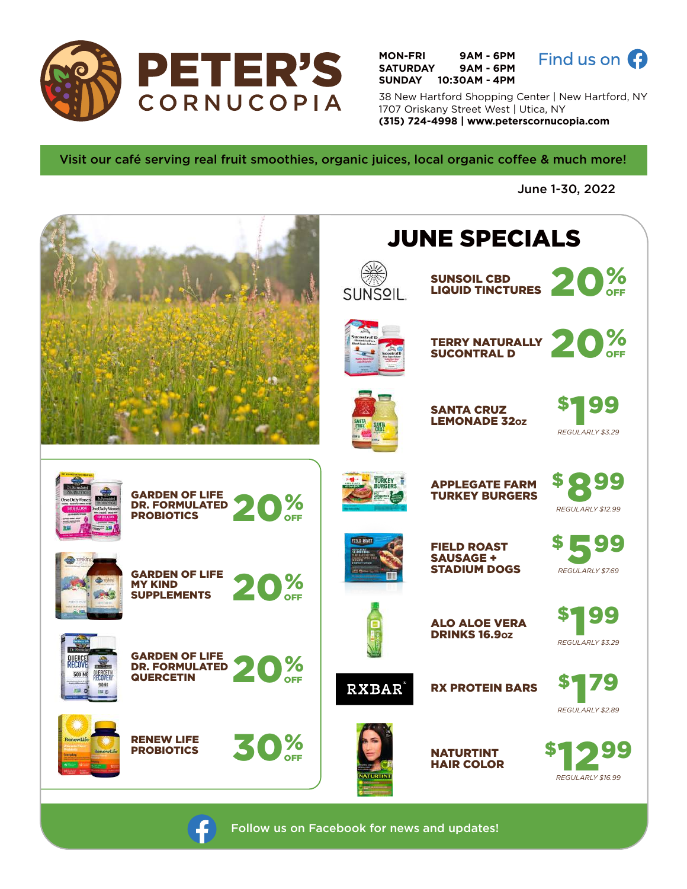

**MON-FRI 9AM - 6PM SATURDAY 9AM - 6PM SUNDAY 10:30AM - 4PM**



38 New Hartford Shopping Center | New Hartford, NY 1707 Oriskany Street West | Utica, NY **(315) 724-4998 | www.peterscornucopia.com**

Visit our café serving real fruit smoothies, organic juices, local organic coffee & much more!

June 1-30, 2022



Follow us on Facebook for news and updates!